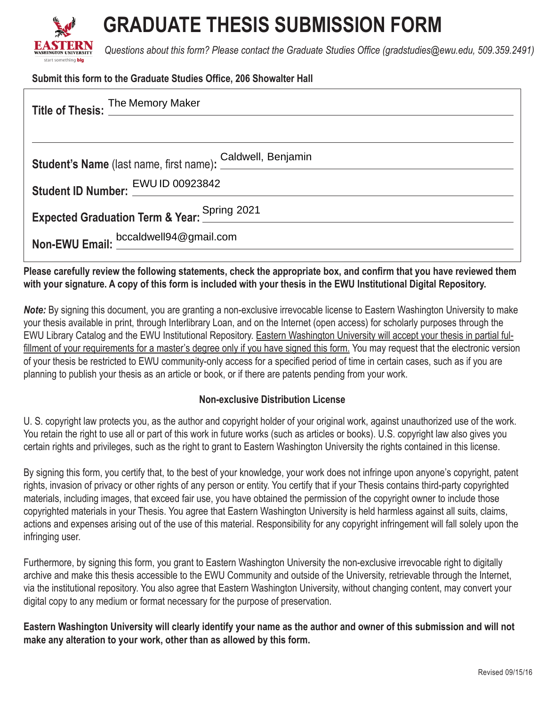

# **GRADUATE THESIS SUBMISSION FORM**

*Questions about this form? Please contact the Graduate Studies Offce (gradstudies@ewu.edu, 509.359.2491)*

#### **Submit this form to the Graduate Studies Office, 206 Showalter Hall**

| Title of Thesis: The Memory Maker                                                                                        |  |  |
|--------------------------------------------------------------------------------------------------------------------------|--|--|
|                                                                                                                          |  |  |
| Student's Name (last name, first name): Caldwell, Benjamin<br>Student's Name (last name, first name): Caldwell, Benjamin |  |  |
| Student ID Number: EWU ID 00923842                                                                                       |  |  |
| Expected Graduation Term & Year: Spring 2021                                                                             |  |  |
| Non-EWU Email: bccaldwell94@gmail.com                                                                                    |  |  |

### **Please carefully review the following statements, check the appropriate box, and confrm that you have reviewed them with your signature. A copy of this form is included with your thesis in the EWU Institutional Digital Repository.**

*Note:* By signing this document, you are granting a non-exclusive irrevocable license to Eastern Washington University to make your thesis available in print, through Interlibrary Loan, and on the Internet (open access) for scholarly purposes through the EWU Library Catalog and the EWU Institutional Repository. Eastern Washington University will accept your thesis in partial fulfillment of your requirements for a master's degree only if you have signed this form. You may request that the electronic version of your thesis be restricted to EWU community-only access for a specifed period of time in certain cases, such as if you are planning to publish your thesis as an article or book, or if there are patents pending from your work.

#### **Non-exclusive Distribution License**

U. S. copyright law protects you, as the author and copyright holder of your original work, against unauthorized use of the work. You retain the right to use all or part of this work in future works (such as articles or books). U.S. copyright law also gives you certain rights and privileges, such as the right to grant to Eastern Washington University the rights contained in this license.

By signing this form, you certify that, to the best of your knowledge, your work does not infringe upon anyone's copyright, patent rights, invasion of privacy or other rights of any person or entity. You certify that if your Thesis contains third-party copyrighted materials, including images, that exceed fair use, you have obtained the permission of the copyright owner to include those copyrighted materials in your Thesis. You agree that Eastern Washington University is held harmless against all suits, claims, actions and expenses arising out of the use of this material. Responsibility for any copyright infringement will fall solely upon the infringing user.

Furthermore, by signing this form, you grant to Eastern Washington University the non-exclusive irrevocable right to digitally archive and make this thesis accessible to the EWU Community and outside of the University, retrievable through the Internet, via the institutional repository. You also agree that Eastern Washington University, without changing content, may convert your digital copy to any medium or format necessary for the purpose of preservation.

**Eastern Washington University will clearly identify your name as the author and owner of this submission and will not make any alteration to your work, other than as allowed by this form.**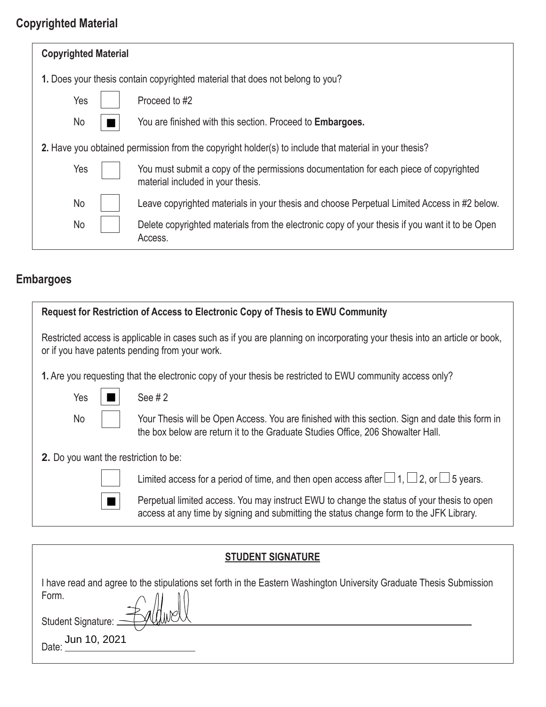### **Copyrighted Material**

| <b>Copyrighted Material</b>                                                                           |  |                                                                                                                            |  |  |
|-------------------------------------------------------------------------------------------------------|--|----------------------------------------------------------------------------------------------------------------------------|--|--|
| 1. Does your thesis contain copyrighted material that does not belong to you?                         |  |                                                                                                                            |  |  |
| Yes                                                                                                   |  | Proceed to #2                                                                                                              |  |  |
| No                                                                                                    |  | You are finished with this section. Proceed to <b>Embargoes.</b>                                                           |  |  |
| 2. Have you obtained permission from the copyright holder(s) to include that material in your thesis? |  |                                                                                                                            |  |  |
| Yes                                                                                                   |  | You must submit a copy of the permissions documentation for each piece of copyrighted<br>material included in your thesis. |  |  |
| No                                                                                                    |  | Leave copyrighted materials in your thesis and choose Perpetual Limited Access in #2 below.                                |  |  |
| No                                                                                                    |  | Delete copyrighted materials from the electronic copy of your thesis if you want it to be Open<br>Access.                  |  |  |

### **Embargoes**

| Request for Restriction of Access to Electronic Copy of Thesis to EWU Community                                                                                              |                                                                                                                                                                                       |  |  |
|------------------------------------------------------------------------------------------------------------------------------------------------------------------------------|---------------------------------------------------------------------------------------------------------------------------------------------------------------------------------------|--|--|
| Restricted access is applicable in cases such as if you are planning on incorporating your thesis into an article or book,<br>or if you have patents pending from your work. |                                                                                                                                                                                       |  |  |
| 1. Are you requesting that the electronic copy of your thesis be restricted to EWU community access only?                                                                    |                                                                                                                                                                                       |  |  |
| Yes                                                                                                                                                                          | See $#2$                                                                                                                                                                              |  |  |
| No                                                                                                                                                                           | Your Thesis will be Open Access. You are finished with this section. Sign and date this form in<br>the box below are return it to the Graduate Studies Office, 206 Showalter Hall.    |  |  |
| <b>2.</b> Do you want the restriction to be:                                                                                                                                 |                                                                                                                                                                                       |  |  |
|                                                                                                                                                                              | Limited access for a period of time, and then open access after $\Box$ 1, $\Box$ 2, or $\Box$ 5 years.                                                                                |  |  |
|                                                                                                                                                                              | Perpetual limited access. You may instruct EWU to change the status of your thesis to open<br>access at any time by signing and submitting the status change form to the JFK Library. |  |  |
|                                                                                                                                                                              |                                                                                                                                                                                       |  |  |

## **STUDENT SIGNATURE**

I have read and agree to the stipulations set forth in the Eastern Washington University Graduate Thesis Submission Form.

Student Signature: \_ Jun 10, 2021

Date: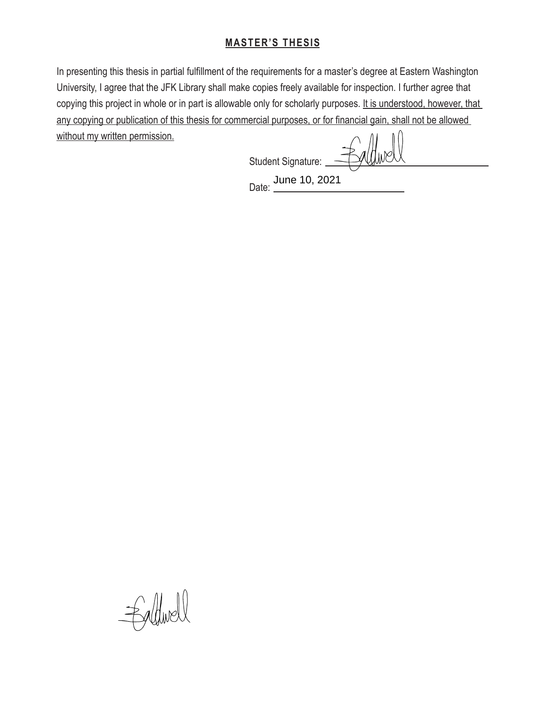### **MASTER'S THESIS**

In presenting this thesis in partial fulfllment of the requirements for a master's degree at Eastern Washington University, I agree that the JFK Library shall make copies freely available for inspection. I further agree that copying this project in whole or in part is allowable only for scholarly purposes. It is understood, however, that any copying or publication of this thesis for commercial purposes, or for fnancial gain, shall not be allowed without my written permission.

**Student Signature:** Student Signature:

Date: <u>June 10, 2021</u> June 10, 2021

Ealfwell